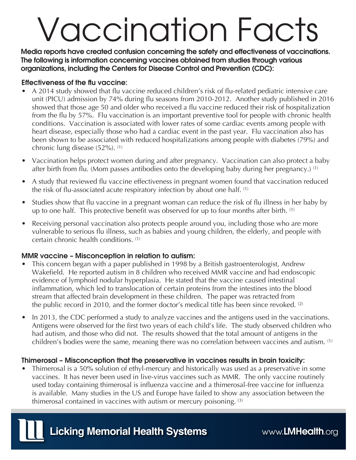# Vaccination Facts

Media reports have created confusion concerning the safety and effectiveness of vaccinations. The following is information concerning vaccines obtained from studies through various organizations, including the Centers for Disease Control and Prevention (CDC):

#### Effectiveness of the flu vaccine:

- A 2014 study showed that flu vaccine reduced children's risk of flu-related pediatric intensive care unit (PICU) admission by 74% during flu seasons from 2010-2012. Another study published in 2016 showed that those age 50 and older who received a flu vaccine reduced their risk of hospitalization from the flu by 57%. Flu vaccination is an important preventive tool for people with chronic health conditions. Vaccination is associated with lower rates of some cardiac events among people with heart disease, especially those who had a cardiac event in the past year. Flu vaccination also has been shown to be associated with reduced hospitalizations among people with diabetes (79%) and chronic lung disease (52%). (1)
- Vaccination helps protect women during and after pregnancy. Vaccination can also protect a baby after birth from flu. (Mom passes antibodies onto the developing baby during her pregnancy.) (1)
- A study that reviewed flu vaccine effectiveness in pregnant women found that vaccination reduced the risk of flu-associated acute respiratory infection by about one half. (1)
- Studies show that flu vaccine in a pregnant woman can reduce the risk of flu illness in her baby by up to one half. This protective benefit was observed for up to four months after birth. (1)
- Receiving personal vaccination also protects people around you, including those who are more vulnerable to serious flu illness, such as babies and young children, the elderly, and people with certain chronic health conditions. (1)

#### MMR vaccine – Misconception in relation to autism:

- This concern began with a paper published in 1998 by a British gastroenterologist, Andrew Wakefield. He reported autism in 8 children who received MMR vaccine and had endoscopic evidence of lymphoid nodular hyperplasia. He stated that the vaccine caused intestinal inflammation, which led to translocation of certain proteins from the intestines into the blood stream that affected brain development in these children. The paper was retracted from the public record in 2010, and the former doctor's medical title has been since revoked.  $(2)$
- In 2013, the CDC performed a study to analyze vaccines and the antigens used in the vaccinations. Antigens were observed for the first two years of each child's life. The study observed children who had autism, and those who did not. The results showed that the total amount of antigens in the children's bodies were the same, meaning there was no correlation between vaccines and autism. (1)

#### Thimerosal – Misconception that the preservative in vaccines results in brain toxicity:

• Thimerosal is a 50% solution of ethyl-mercury and historically was used as a preservative in some vaccines. It has never been used in live-virus vaccines such as MMR. The only vaccine routinely used today containing thimerosal is influenza vaccine and a thimerosal-free vaccine for influenza is available. Many studies in the US and Europe have failed to show any association between the thimerosal contained in vaccines with autism or mercury poisoning. (3)

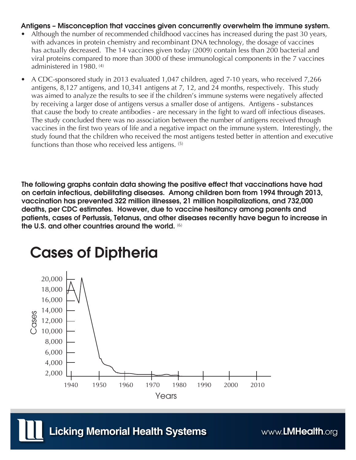#### Antigens – Misconception that vaccines given concurrently overwhelm the immune system.

- Although the number of recommended childhood vaccines has increased during the past 30 years, with advances in protein chemistry and recombinant DNA technology, the dosage of vaccines has actually decreased. The 14 vaccines given today (2009) contain less than 200 bacterial and viral proteins compared to more than 3000 of these immunological components in the 7 vaccines administered in 1980. (4)
- A CDC-sponsored study in 2013 evaluated 1,047 children, aged 7-10 years, who received 7,266 antigens, 8,127 antigens, and 10,341 antigens at 7, 12, and 24 months, respectively. This study was aimed to analyze the results to see if the children's immune systems were negatively affected by receiving a larger dose of antigens versus a smaller dose of antigens. Antigens - substances that cause the body to create antibodies - are necessary in the fight to ward off infectious diseases. The study concluded there was no association between the number of antigens received through vaccines in the first two years of life and a negative impact on the immune system. Interestingly, the study found that the children who received the most antigens tested better in attention and executive functions than those who received less antigens. (5)

The following graphs contain data showing the positive effect that vaccinations have had on certain infectious, debilitating diseases. Among children born from 1994 through 2013, vaccination has prevented 322 million illnesses, 21 million hospitalizations, and 732,000 deaths, per CDC estimates. However, due to vaccine hesitancy among parents and patients, cases of Pertussis, Tetanus, and other diseases recently have begun to increase in the U.S. and other countries around the world. (6)



#### Cases of Diptheria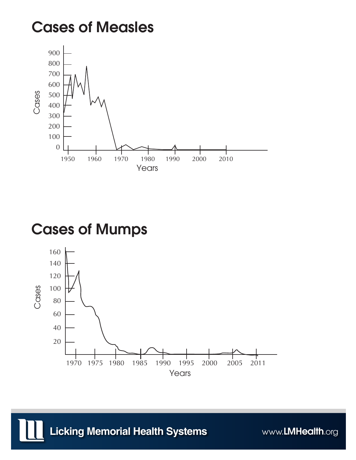#### Cases of Measles



### Cases of Mumps

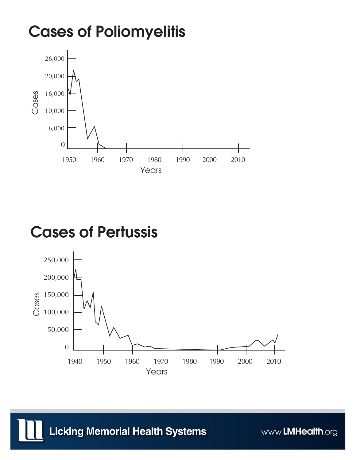## Cases of Poliomyelitis



### Cases of Pertussis

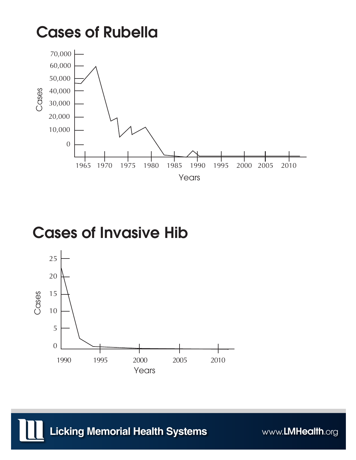### Cases of Rubella



### Cases of Invasive Hib